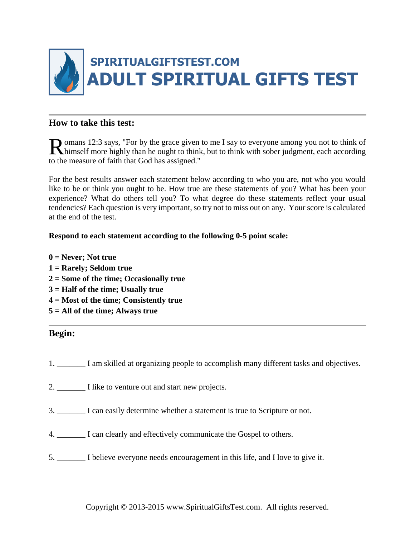

## **How to take this test:**

**O** omans 12:3 says, "For by the grace given to me I say to everyone among you not to think of Romans 12:3 says, "For by the grace given to me I say to everyone among you not to think of himself more highly than he ought to think, but to think with sober judgment, each according to the measure of faith that God has assigned."

For the best results answer each statement below according to who you are, not who you would like to be or think you ought to be. How true are these statements of you? What has been your experience? What do others tell you? To what degree do these statements reflect your usual tendencies? Each question is very important, so try not to miss out on any. Your score is calculated at the end of the test.

## **Respond to each statement according to the following 0-5 point scale:**

**0 = Never; Not true 1 = Rarely; Seldom true 2 = Some of the time; Occasionally true 3 = Half of the time; Usually true 4 = Most of the time; Consistently true 5 = All of the time; Always true**

## **Begin:**

- 1. \_\_\_\_\_\_\_ I am skilled at organizing people to accomplish many different tasks and objectives.
- 2. \_\_\_\_\_\_\_\_ I like to venture out and start new projects.
- 3. \_\_\_\_\_\_\_ I can easily determine whether a statement is true to Scripture or not.
- 4. \_\_\_\_\_\_\_ I can clearly and effectively communicate the Gospel to others.
- 5. \_\_\_\_\_\_\_ I believe everyone needs encouragement in this life, and I love to give it.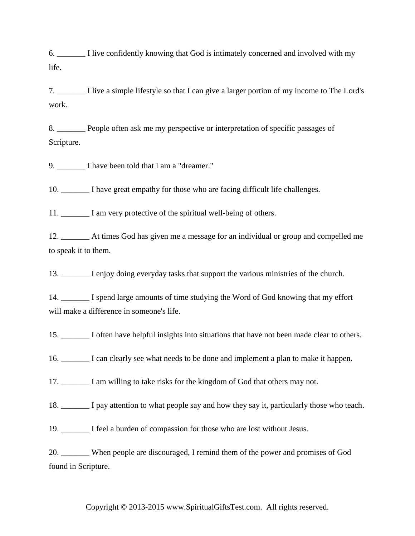6. \_\_\_\_\_\_\_ I live confidently knowing that God is intimately concerned and involved with my life.

7. \_\_\_\_\_\_\_ I live a simple lifestyle so that I can give a larger portion of my income to The Lord's work.

8. People often ask me my perspective or interpretation of specific passages of Scripture.

9. I have been told that I am a "dreamer."

10. \_\_\_\_\_\_\_ I have great empathy for those who are facing difficult life challenges.

11. \_\_\_\_\_\_\_ I am very protective of the spiritual well-being of others.

12. \_\_\_\_\_\_\_ At times God has given me a message for an individual or group and compelled me to speak it to them.

13. \_\_\_\_\_\_\_ I enjoy doing everyday tasks that support the various ministries of the church.

14. \_\_\_\_\_\_\_ I spend large amounts of time studying the Word of God knowing that my effort will make a difference in someone's life.

15. \_\_\_\_\_\_\_ I often have helpful insights into situations that have not been made clear to others.

16. \_\_\_\_\_\_\_ I can clearly see what needs to be done and implement a plan to make it happen.

17. \_\_\_\_\_\_\_ I am willing to take risks for the kingdom of God that others may not.

18. \_\_\_\_\_\_\_ I pay attention to what people say and how they say it, particularly those who teach.

19. I feel a burden of compassion for those who are lost without Jesus.

20. \_\_\_\_\_\_\_ When people are discouraged, I remind them of the power and promises of God found in Scripture.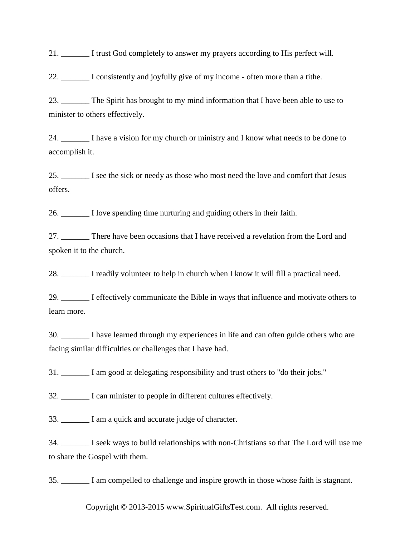21. \_\_\_\_\_\_\_ I trust God completely to answer my prayers according to His perfect will.

22. \_\_\_\_\_\_\_ I consistently and joyfully give of my income - often more than a tithe.

23. \_\_\_\_\_\_\_ The Spirit has brought to my mind information that I have been able to use to minister to others effectively.

24. I have a vision for my church or ministry and I know what needs to be done to accomplish it.

25. \_\_\_\_\_\_\_ I see the sick or needy as those who most need the love and comfort that Jesus offers.

26. \_\_\_\_\_\_\_ I love spending time nurturing and guiding others in their faith.

27. \_\_\_\_\_\_\_ There have been occasions that I have received a revelation from the Lord and spoken it to the church.

28. \_\_\_\_\_\_\_ I readily volunteer to help in church when I know it will fill a practical need.

29. \_\_\_\_\_\_\_ I effectively communicate the Bible in ways that influence and motivate others to learn more.

30. \_\_\_\_\_\_\_ I have learned through my experiences in life and can often guide others who are facing similar difficulties or challenges that I have had.

31. \_\_\_\_\_\_\_ I am good at delegating responsibility and trust others to "do their jobs."

32. I can minister to people in different cultures effectively.

33. \_\_\_\_\_\_\_ I am a quick and accurate judge of character.

34. \_\_\_\_\_\_\_ I seek ways to build relationships with non-Christians so that The Lord will use me to share the Gospel with them.

35. \_\_\_\_\_\_\_ I am compelled to challenge and inspire growth in those whose faith is stagnant.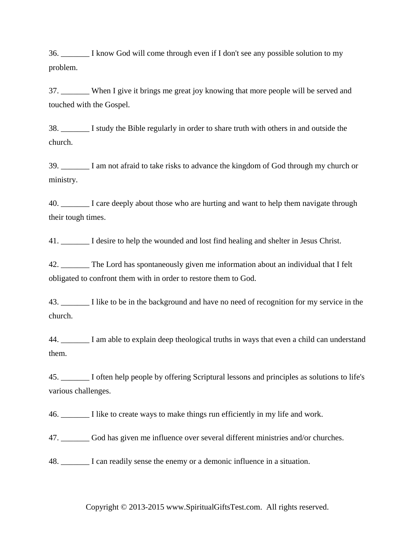36. \_\_\_\_\_\_\_ I know God will come through even if I don't see any possible solution to my problem.

37. When I give it brings me great joy knowing that more people will be served and touched with the Gospel.

38. \_\_\_\_\_\_\_ I study the Bible regularly in order to share truth with others in and outside the church.

39. \_\_\_\_\_\_\_ I am not afraid to take risks to advance the kingdom of God through my church or ministry.

40. \_\_\_\_\_\_\_ I care deeply about those who are hurting and want to help them navigate through their tough times.

41. \_\_\_\_\_\_\_ I desire to help the wounded and lost find healing and shelter in Jesus Christ.

42. \_\_\_\_\_\_\_ The Lord has spontaneously given me information about an individual that I felt obligated to confront them with in order to restore them to God.

43. \_\_\_\_\_\_\_ I like to be in the background and have no need of recognition for my service in the church.

44. \_\_\_\_\_\_\_ I am able to explain deep theological truths in ways that even a child can understand them.

45. \_\_\_\_\_\_\_ I often help people by offering Scriptural lessons and principles as solutions to life's various challenges.

46. \_\_\_\_\_\_\_ I like to create ways to make things run efficiently in my life and work.

47. \_\_\_\_\_\_\_ God has given me influence over several different ministries and/or churches.

48. \_\_\_\_\_\_\_ I can readily sense the enemy or a demonic influence in a situation.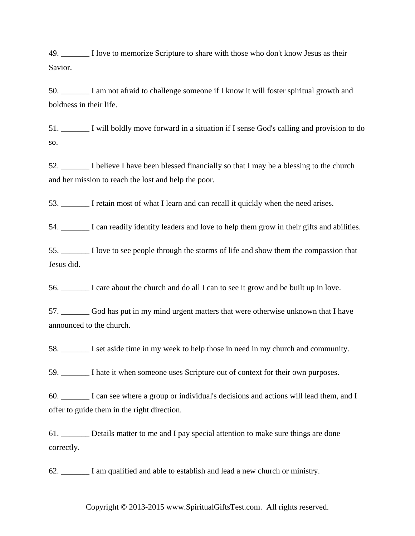49. I love to memorize Scripture to share with those who don't know Jesus as their Savior.

50. \_\_\_\_\_\_\_ I am not afraid to challenge someone if I know it will foster spiritual growth and boldness in their life.

51. \_\_\_\_\_\_\_ I will boldly move forward in a situation if I sense God's calling and provision to do so.

52. \_\_\_\_\_\_\_ I believe I have been blessed financially so that I may be a blessing to the church and her mission to reach the lost and help the poor.

53. \_\_\_\_\_\_\_ I retain most of what I learn and can recall it quickly when the need arises.

54. \_\_\_\_\_\_\_ I can readily identify leaders and love to help them grow in their gifts and abilities.

55. \_\_\_\_\_\_\_ I love to see people through the storms of life and show them the compassion that Jesus did.

56. \_\_\_\_\_\_\_ I care about the church and do all I can to see it grow and be built up in love.

57. \_\_\_\_\_\_\_ God has put in my mind urgent matters that were otherwise unknown that I have announced to the church.

58. \_\_\_\_\_\_\_ I set aside time in my week to help those in need in my church and community.

59. I hate it when someone uses Scripture out of context for their own purposes.

60. \_\_\_\_\_\_\_ I can see where a group or individual's decisions and actions will lead them, and I offer to guide them in the right direction.

61. \_\_\_\_\_\_\_ Details matter to me and I pay special attention to make sure things are done correctly.

62. \_\_\_\_\_\_\_ I am qualified and able to establish and lead a new church or ministry.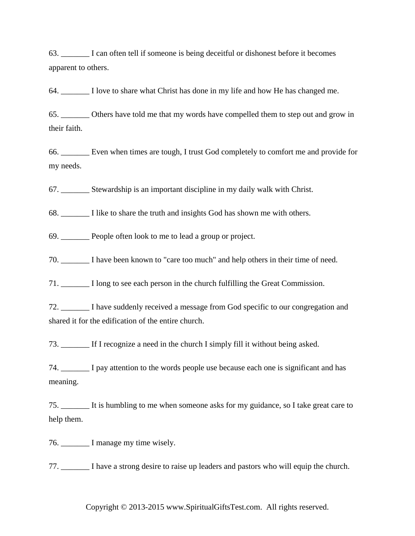63. \_\_\_\_\_\_\_ I can often tell if someone is being deceitful or dishonest before it becomes apparent to others.

64. \_\_\_\_\_\_\_ I love to share what Christ has done in my life and how He has changed me.

65. \_\_\_\_\_\_\_ Others have told me that my words have compelled them to step out and grow in their faith.

66. \_\_\_\_\_\_\_ Even when times are tough, I trust God completely to comfort me and provide for my needs.

67. \_\_\_\_\_\_\_ Stewardship is an important discipline in my daily walk with Christ.

68. \_\_\_\_\_\_\_ I like to share the truth and insights God has shown me with others.

69. \_\_\_\_\_\_\_ People often look to me to lead a group or project.

70. \_\_\_\_\_\_\_ I have been known to "care too much" and help others in their time of need.

71. \_\_\_\_\_\_\_ I long to see each person in the church fulfilling the Great Commission.

72. \_\_\_\_\_\_\_ I have suddenly received a message from God specific to our congregation and shared it for the edification of the entire church.

73. \_\_\_\_\_\_\_ If I recognize a need in the church I simply fill it without being asked.

74. \_\_\_\_\_\_\_ I pay attention to the words people use because each one is significant and has meaning.

75. \_\_\_\_\_\_\_ It is humbling to me when someone asks for my guidance, so I take great care to help them.

76. \_\_\_\_\_\_\_ I manage my time wisely.

77. \_\_\_\_\_\_\_ I have a strong desire to raise up leaders and pastors who will equip the church.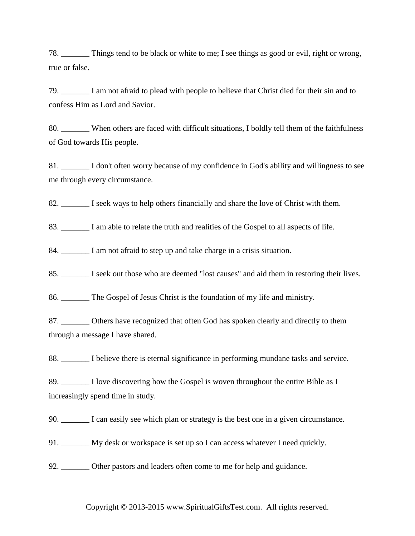78. \_\_\_\_\_\_\_ Things tend to be black or white to me; I see things as good or evil, right or wrong, true or false.

79. \_\_\_\_\_\_\_ I am not afraid to plead with people to believe that Christ died for their sin and to confess Him as Lord and Savior.

80. When others are faced with difficult situations, I boldly tell them of the faithfulness of God towards His people.

81. \_\_\_\_\_\_\_ I don't often worry because of my confidence in God's ability and willingness to see me through every circumstance.

82.  $\Box$  I seek ways to help others financially and share the love of Christ with them.

83. I am able to relate the truth and realities of the Gospel to all aspects of life.

84. I am not afraid to step up and take charge in a crisis situation.

85. \_\_\_\_\_\_\_ I seek out those who are deemed "lost causes" and aid them in restoring their lives.

86. \_\_\_\_\_\_\_ The Gospel of Jesus Christ is the foundation of my life and ministry.

87. **Communished Others have recognized that often God has spoken clearly and directly to them** through a message I have shared.

88. I believe there is eternal significance in performing mundane tasks and service.

89. I love discovering how the Gospel is woven throughout the entire Bible as I increasingly spend time in study.

90. \_\_\_\_\_\_\_ I can easily see which plan or strategy is the best one in a given circumstance.

91. \_\_\_\_\_\_\_ My desk or workspace is set up so I can access whatever I need quickly.

92. Other pastors and leaders often come to me for help and guidance.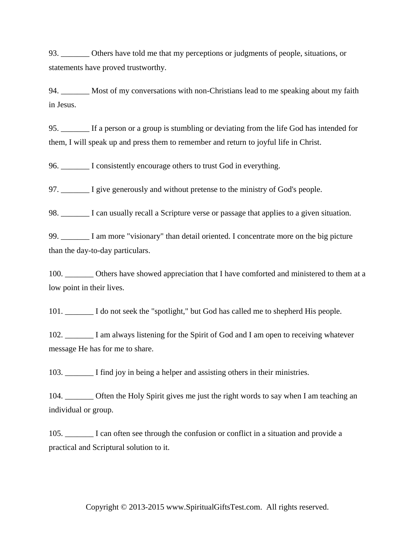93. Others have told me that my perceptions or judgments of people, situations, or statements have proved trustworthy.

94. Most of my conversations with non-Christians lead to me speaking about my faith in Jesus.

95. \_\_\_\_\_\_\_ If a person or a group is stumbling or deviating from the life God has intended for them, I will speak up and press them to remember and return to joyful life in Christ.

96. \_\_\_\_\_\_\_ I consistently encourage others to trust God in everything.

97. \_\_\_\_\_\_\_ I give generously and without pretense to the ministry of God's people.

98. \_\_\_\_\_\_\_ I can usually recall a Scripture verse or passage that applies to a given situation.

99. \_\_\_\_\_\_\_ I am more "visionary" than detail oriented. I concentrate more on the big picture than the day-to-day particulars.

100. \_\_\_\_\_\_\_\_ Others have showed appreciation that I have comforted and ministered to them at a low point in their lives.

101. \_\_\_\_\_\_\_ I do not seek the "spotlight," but God has called me to shepherd His people.

102. \_\_\_\_\_\_\_ I am always listening for the Spirit of God and I am open to receiving whatever message He has for me to share.

103. I find joy in being a helper and assisting others in their ministries.

104. \_\_\_\_\_\_\_ Often the Holy Spirit gives me just the right words to say when I am teaching an individual or group.

105. \_\_\_\_\_\_\_ I can often see through the confusion or conflict in a situation and provide a practical and Scriptural solution to it.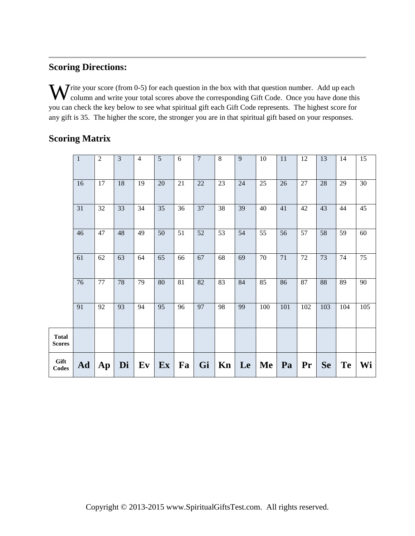## **Scoring Directions:**

W rite your score (from 0-5) for each question in the box with that question number. Add up each column and write your total scores above the corresponding Gift Code. Once you have done thin column and write your total scores above the corresponding Gift Code. Once you have done this you can check the key below to see what spiritual gift each Gift Code represents. The highest score for any gift is 35. The higher the score, the stronger you are in that spiritual gift based on your responses.

# **Scoring Matrix**

|                               | $\mathbf{1}$ | $\overline{2}$         | 3  | $\overline{4}$ | 5               | 6               | $\overline{7}$  | $\,8\,$         | 9  | 10  | 11  | 12     | 13        | 14        | 15              |
|-------------------------------|--------------|------------------------|----|----------------|-----------------|-----------------|-----------------|-----------------|----|-----|-----|--------|-----------|-----------|-----------------|
|                               | 16           | 17                     | 18 | 19             | 20              | 21              | 22              | 23              | 24 | 25  | 26  | $27\,$ | 28        | 29        | 30              |
|                               | 31           | 32                     | 33 | 34             | 35              | 36              | 37              | 38              | 39 | 40  | 41  | 42     | 43        | 44        | 45              |
|                               | 46           | 47                     | 48 | 49             | 50              | $\overline{51}$ | 52              | 53              | 54 | 55  | 56  | 57     | 58        | 59        | 60              |
|                               | 61           | 62                     | 63 | 64             | 65              | 66              | 67              | 68              | 69 | 70  | 71  | 72     | 73        | 74        | 75              |
|                               | 76           | $\overline{77}$        | 78 | 79             | $\overline{80}$ | $\overline{81}$ | $\overline{82}$ | $\overline{83}$ | 84 | 85  | 86  | 87     | 88        | 89        | $\overline{90}$ |
|                               | 91           | 92                     | 93 | 94             | 95              | 96              | 97              | 98              | 99 | 100 | 101 | 102    | 103       | 104       | 105             |
| <b>Total</b><br><b>Scores</b> |              |                        |    |                |                 |                 |                 |                 |    |     |     |        |           |           |                 |
| Gift<br><b>Codes</b>          | Ad           | $\mathbf{A}\mathbf{p}$ | Di | Ev             | Ex              | Fa              | Gi              | Kn              | Le | Me  | Pa  | Pr     | <b>Se</b> | <b>Te</b> | Wi              |